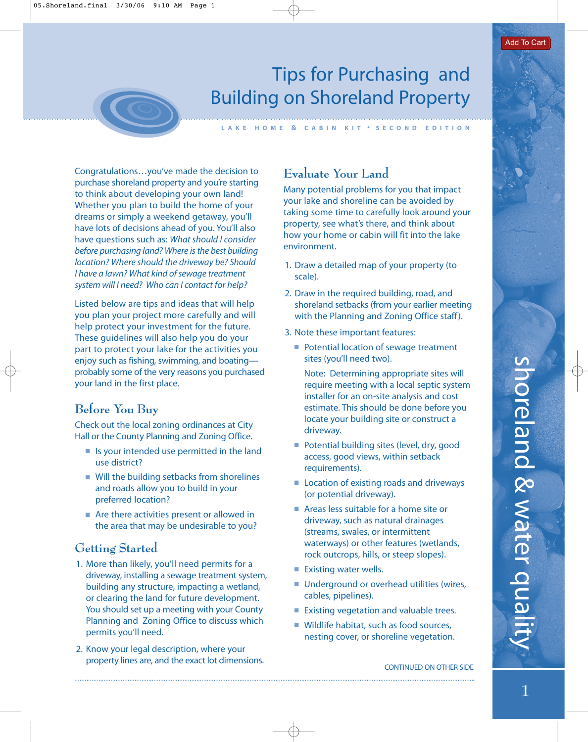# Tips for Purchasing and Building on Shoreland Property

Congratulations…you've made the decision to purchase shoreland property and you're starting to think about developing your own land! Whether you plan to build the home of your dreams or simply a weekend getaway, you'll have lots of decisions ahead of you. You'll also have questions such as: What should I consider before purchasing land? Where is the best building location? Where should the driveway be? Should I have a lawn? What kind of sewage treatment system will I need? Who can I contact for help?

Listed below are tips and ideas that will help you plan your project more carefully and will help protect your investment for the future. These guidelines will also help you do your part to protect your lake for the activities you enjoy such as fishing, swimming, and boating probably some of the very reasons you purchased your land in the first place.

## **Before You Buy**

Check out the local zoning ordinances at City Hall or the County Planning and Zoning Office.

- Is your intended use permitted in the land use district?
- Will the building setbacks from shorelines and roads allow you to build in your preferred location?
- Are there activities present or allowed in the area that may be undesirable to you?

#### **Getting Started**

- 1. More than likely, you'll need permits for a driveway, installing a sewage treatment system, building any structure, impacting a wetland, or clearing the land for future development. You should set up a meeting with your County Planning and Zoning Office to discuss which permits you'll need.
- 2. Know your legal description, where your property lines are, and the exact lot dimensions.

### **Evaluate Your Land**

**LAKE HOME & CABIN KIT • SECOND EDITION**

Many potential problems for you that impact your lake and shoreline can be avoided by taking some time to carefully look around your property, see what's there, and think about how your home or cabin will fit into the lake environment.

- 1. Draw a detailed map of your property (to scale).
- 2. Draw in the required building, road, and shoreland setbacks (from your earlier meeting with the Planning and Zoning Office staff).
- 3. Note these important features:
	- Potential location of sewage treatment sites (you'll need two).

Note: Determining appropriate sites will require meeting with a local septic system installer for an on-site analysis and cost estimate. This should be done before you locate your building site or construct a driveway.

- Potential building sites (level, dry, good access, good views, within setback requirements).
- Location of existing roads and driveways (or potential driveway).
- Areas less suitable for a home site or driveway, such as natural drainages (streams, swales, or intermittent waterways) or other features (wetlands, rock outcrops, hills, or steep slopes).
- Existing water wells.
- Underground or overhead utilities (wires, cables, pipelines).
- Existing vegetation and valuable trees.
- Wildlife habitat, such as food sources, nesting cover, or shoreline vegetation.

shoreland & water quali-